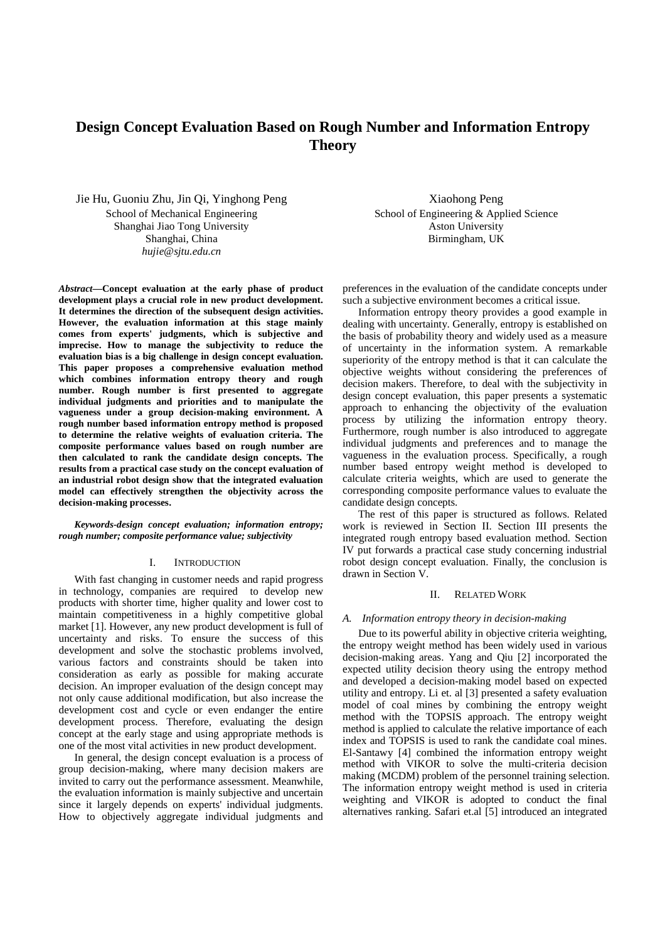# **Design Concept Evaluation Based on Rough Number and Information Entropy Theory**

Jie Hu, Guoniu Zhu, Jin Qi, Yinghong Peng

School of Mechanical Engineering Shanghai Jiao Tong University Shanghai, China *hujie@sjtu.edu.cn* 

*Abstract***—Concept evaluation at the early phase of product development plays a crucial role in new product development. It determines the direction of the subsequent design activities. However, the evaluation information at this stage mainly comes from experts' judgments, which is subjective and imprecise. How to manage the subjectivity to reduce the evaluation bias is a big challenge in design concept evaluation. This paper proposes a comprehensive evaluation method which combines information entropy theory and rough number. Rough number is first presented to aggregate individual judgments and priorities and to manipulate the vagueness under a group decision-making environment. A rough number based information entropy method is proposed to determine the relative weights of evaluation criteria. The composite performance values based on rough number are then calculated to rank the candidate design concepts. The results from a practical case study on the concept evaluation of an industrial robot design show that the integrated evaluation model can effectively strengthen the objectivity across the decision-making processes.** 

*Keywords-design concept evaluation; information entropy; rough number; composite performance value; subjectivity* 

#### I. INTRODUCTION

With fast changing in customer needs and rapid progress in technology, companies are required to develop new products with shorter time, higher quality and lower cost to maintain competitiveness in a highly competitive global market [1]. However, any new product development is full of uncertainty and risks. To ensure the success of this development and solve the stochastic problems involved, various factors and constraints should be taken into consideration as early as possible for making accurate decision. An improper evaluation of the design concept may not only cause additional modification, but also increase the development cost and cycle or even endanger the entire development process. Therefore, evaluating the design concept at the early stage and using appropriate methods is one of the most vital activities in new product development.

In general, the design concept evaluation is a process of group decision-making, where many decision makers are invited to carry out the performance assessment. Meanwhile, the evaluation information is mainly subjective and uncertain since it largely depends on experts' individual judgments. How to objectively aggregate individual judgments and

Xiaohong Peng School of Engineering & Applied Science Aston University Birmingham, UK

preferences in the evaluation of the candidate concepts under such a subjective environment becomes a critical issue.

Information entropy theory provides a good example in dealing with uncertainty. Generally, entropy is established on the basis of probability theory and widely used as a measure of uncertainty in the information system. A remarkable superiority of the entropy method is that it can calculate the objective weights without considering the preferences of decision makers. Therefore, to deal with the subjectivity in design concept evaluation, this paper presents a systematic approach to enhancing the objectivity of the evaluation process by utilizing the information entropy theory. Furthermore, rough number is also introduced to aggregate individual judgments and preferences and to manage the vagueness in the evaluation process. Specifically, a rough number based entropy weight method is developed to calculate criteria weights, which are used to generate the corresponding composite performance values to evaluate the candidate design concepts.

The rest of this paper is structured as follows. Related work is reviewed in Section II. Section III presents the integrated rough entropy based evaluation method. Section IV put forwards a practical case study concerning industrial robot design concept evaluation. Finally, the conclusion is drawn in Section V.

#### II. RELATED WORK

#### *A. Information entropy theory in decision-making*

Due to its powerful ability in objective criteria weighting, the entropy weight method has been widely used in various decision-making areas. Yang and Qiu [2] incorporated the expected utility decision theory using the entropy method and developed a decision-making model based on expected utility and entropy. Li et. al [3] presented a safety evaluation model of coal mines by combining the entropy weight method with the TOPSIS approach. The entropy weight method is applied to calculate the relative importance of each index and TOPSIS is used to rank the candidate coal mines. El-Santawy [4] combined the information entropy weight method with VIKOR to solve the multi-criteria decision making (MCDM) problem of the personnel training selection. The information entropy weight method is used in criteria weighting and VIKOR is adopted to conduct the final alternatives ranking. Safari et.al [5] introduced an integrated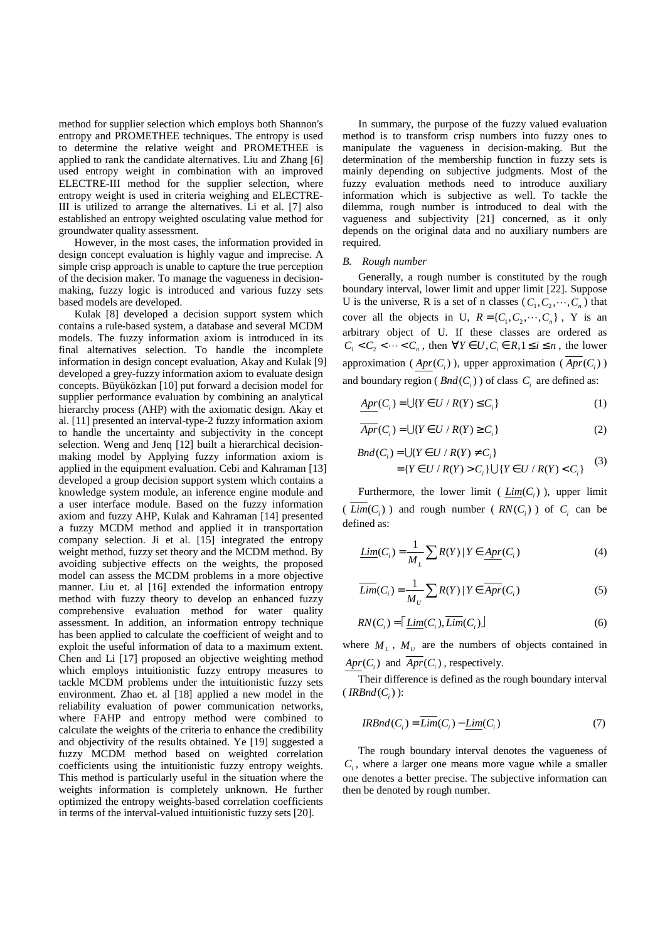method for supplier selection which employs both Shannon's entropy and PROMETHEE techniques. The entropy is used to determine the relative weight and PROMETHEE is applied to rank the candidate alternatives. Liu and Zhang [6] used entropy weight in combination with an improved ELECTRE-III method for the supplier selection, where entropy weight is used in criteria weighing and ELECTRE-III is utilized to arrange the alternatives. Li et al. [7] also established an entropy weighted osculating value method for groundwater quality assessment.

However, in the most cases, the information provided in design concept evaluation is highly vague and imprecise. A simple crisp approach is unable to capture the true perception of the decision maker. To manage the vagueness in decisionmaking, fuzzy logic is introduced and various fuzzy sets based models are developed.

Kulak [8] developed a decision support system which contains a rule-based system, a database and several MCDM models. The fuzzy information axiom is introduced in its final alternatives selection. To handle the incomplete information in design concept evaluation, Akay and Kulak [9] developed a grey-fuzzy information axiom to evaluate design concepts. Büyüközkan [10] put forward a decision model for supplier performance evaluation by combining an analytical hierarchy process (AHP) with the axiomatic design. Akay et al. [11] presented an interval-type-2 fuzzy information axiom to handle the uncertainty and subjectivity in the concept selection. Weng and Jenq [12] built a hierarchical decisionmaking model by Applying fuzzy information axiom is applied in the equipment evaluation. Cebi and Kahraman [13] developed a group decision support system which contains a knowledge system module, an inference engine module and a user interface module. Based on the fuzzy information axiom and fuzzy AHP, Kulak and Kahraman [14] presented a fuzzy MCDM method and applied it in transportation company selection. Ji et al. [15] integrated the entropy weight method, fuzzy set theory and the MCDM method. By avoiding subjective effects on the weights, the proposed model can assess the MCDM problems in a more objective manner. Liu et. al [16] extended the information entropy method with fuzzy theory to develop an enhanced fuzzy comprehensive evaluation method for water quality assessment. In addition, an information entropy technique has been applied to calculate the coefficient of weight and to exploit the useful information of data to a maximum extent. Chen and Li [17] proposed an objective weighting method which employs intuitionistic fuzzy entropy measures to tackle MCDM problems under the intuitionistic fuzzy sets environment. Zhao et. al [18] applied a new model in the reliability evaluation of power communication networks, where FAHP and entropy method were combined to calculate the weights of the criteria to enhance the credibility and objectivity of the results obtained. Ye [19] suggested a fuzzy MCDM method based on weighted correlation coefficients using the intuitionistic fuzzy entropy weights. This method is particularly useful in the situation where the weights information is completely unknown. He further optimized the entropy weights-based correlation coefficients in terms of the interval-valued intuitionistic fuzzy sets [20].

In summary, the purpose of the fuzzy valued evaluation method is to transform crisp numbers into fuzzy ones to manipulate the vagueness in decision-making. But the determination of the membership function in fuzzy sets is mainly depending on subjective judgments. Most of the fuzzy evaluation methods need to introduce auxiliary information which is subjective as well. To tackle the dilemma, rough number is introduced to deal with the vagueness and subjectivity [21] concerned, as it only depends on the original data and no auxiliary numbers are required.

### *B. Rough number*

Generally, a rough number is constituted by the rough boundary interval, lower limit and upper limit [22]. Suppose U is the universe, R is a set of n classes  $(C_1, C_2, \dots, C_n)$  that cover all the objects in U,  $R = \{C_1, C_2, \dots, C_n\}$ , Y is an arbitrary object of U. If these classes are ordered as  $C_1 < C_2 < \cdots < C_n$ , then  $\forall Y \in U, C_i \in R, 1 \le i \le n$ , the lower approximation ( $Apr(C_i)$ ), upper approximation ( $Apr(C_i)$ ) and boundary region ( $\text{Bnd}(C_i)$ ) of class  $C_i$  are defined as:

$$
Apr(Ci) = \bigcup \{ Y \in U / R(Y) \le Ci \}
$$
\n<sup>(1)</sup>

$$
\overline{Apr}(C_i) = \bigcup \{ Y \in U / R(Y) \ge C_i \}
$$
 (2)

$$
Bnd(C_i) = \bigcup \{ Y \in U / R(Y) \neq C_i \}
$$
  
=  $\{ Y \in U / R(Y) > C_i \} \bigcup \{ Y \in U / R(Y) < C_i \}$  (3)

Furthermore, the lower limit ( $\underline{Lim}(C_i)$ ), upper limit (*Lim*( $C_i$ )) and rough number (*RN*( $C_i$ )) of  $C_i$  can be defined as:

$$
\underline{\text{Lim}}(C_i) = \frac{1}{M_L} \sum R(Y) \mid Y \in \underline{\text{Apr}}(C_i)
$$
\n<sup>(4)</sup>

$$
\overline{Lim}(C_i) = \frac{1}{M_U} \sum R(Y) | Y \in \overline{Apr}(C_i)
$$
\n(5)

$$
RN(C_i) = \left[ \underline{\text{Lim}}(C_i), \overline{\text{Lim}}(C_i) \right] \tag{6}
$$

where  $M_L$ ,  $M_U$  are the numbers of objects contained in  $Apr(C_i)$  and  $Apr(C_i)$ , respectively.

Their difference is defined as the rough boundary interval  $\left( \textit{IRBnd}(C_i) \right)$ :

$$
IRBnd(Ci) = \overline{Lim}(Ci) - \underline{Lim}(Ci)
$$
\n(7)

The rough boundary interval denotes the vagueness of  $C_i$ , where a larger one means more vague while a smaller one denotes a better precise. The subjective information can then be denoted by rough number.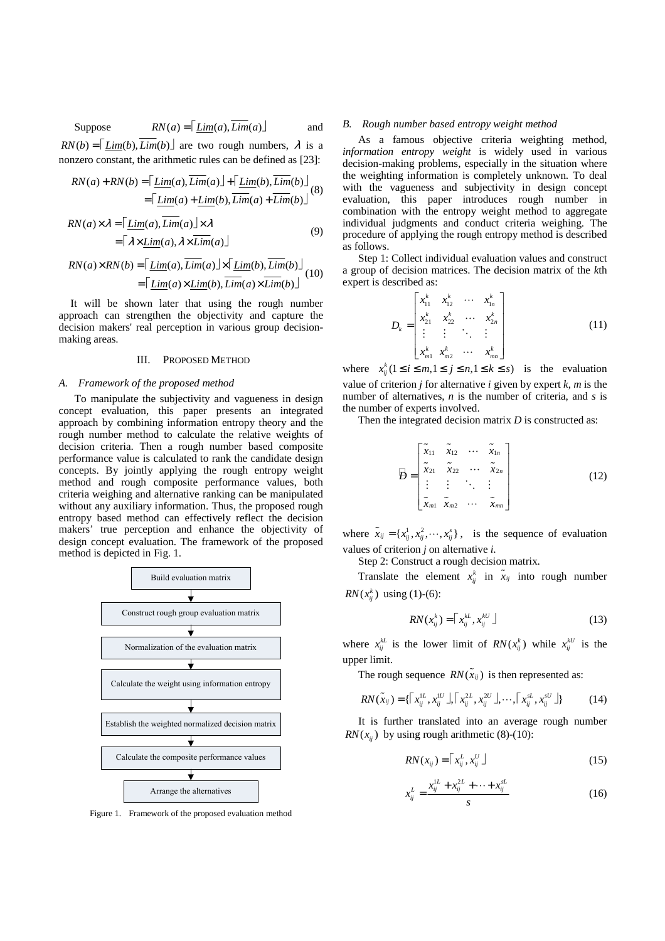Suppose  $RN(a) = \lceil \text{Lim}(a), \overline{\text{Lim}}(a) \rfloor$  and  $RN(b) = \lceil Lim(b)$ ,  $\overline{Lim}(b) \rceil$  are two rough numbers,  $\lambda$  is a

nonzero constant, the arithmetic rules can be defined as [23]:

$$
RN(a) + RN(b) = \left[ \underline{Lim}(a), \overline{Lim}(a) \right] + \left[ \underline{Lim}(b), \overline{Lim}(b) \right] \tag{8}
$$

$$
= \left[ \underline{Lim}(a) + \underline{Lim}(b), \overline{Lim}(a) + \overline{Lim}(b) \right]
$$

$$
RN(a) \times \lambda = \left[ \underline{Lim}(a), \underline{Lim}(a) \right] \times \lambda
$$
  
=  $\left[ \lambda \times \underline{Lim}(a), \lambda \times \overline{Lim}(a) \right]$  (9)

$$
RN(a) \times RN(b) = \left[ \underline{\text{Lim}}(a), \overline{\text{Lim}}(a) \right] \times \left[ \underline{\text{Lim}}(b), \overline{\text{Lim}}(b) \right] \newline = \left[ \underline{\text{Lim}}(a) \times \underline{\text{Lim}}(b), \overline{\text{Lim}}(a) \times \overline{\text{Lim}}(b) \right] \newline (10)
$$

It will be shown later that using the rough number approach can strengthen the objectivity and capture the decision makers' real perception in various group decisionmaking areas.

# III. PROPOSED METHOD

### *A. Framework of the proposed method*

To manipulate the subjectivity and vagueness in design concept evaluation, this paper presents an integrated approach by combining information entropy theory and the rough number method to calculate the relative weights of decision criteria. Then a rough number based composite performance value is calculated to rank the candidate design concepts. By jointly applying the rough entropy weight method and rough composite performance values, both criteria weighing and alternative ranking can be manipulated without any auxiliary information. Thus, the proposed rough entropy based method can effectively reflect the decision makers' true perception and enhance the objectivity of design concept evaluation. The framework of the proposed method is depicted in Fig. 1.



Figure 1. Framework of the proposed evaluation method

#### *B. Rough number based entropy weight method*

As a famous objective criteria weighting method, *information entropy weight* is widely used in various decision-making problems, especially in the situation where the weighting information is completely unknown. To deal with the vagueness and subjectivity in design concept evaluation, this paper introduces rough number in combination with the entropy weight method to aggregate individual judgments and conduct criteria weighing. The procedure of applying the rough entropy method is described as follows.

Step 1: Collect individual evaluation values and construct a group of decision matrices. The decision matrix of the *k*th expert is described as:

$$
D_{k} = \begin{bmatrix} x_{11}^{k} & x_{12}^{k} & \cdots & x_{1n}^{k} \\ x_{21}^{k} & x_{22}^{k} & \cdots & x_{2n}^{k} \\ \vdots & \vdots & \ddots & \vdots \\ x_{m1}^{k} & x_{m2}^{k} & \cdots & x_{mn}^{k} \end{bmatrix}
$$
 (11)

where  $x_{ij}^k (1 \le i \le m, 1 \le j \le n, 1 \le k \le s)$  is the evaluation value of criterion  $j$  for alternative  $i$  given by expert  $k$ ,  $m$  is the number of alternatives, *n* is the number of criteria, and *s* is the number of experts involved.

Then the integrated decision matrix *D* is constructed as:

$$
\overline{B} = \begin{bmatrix} \widetilde{x}_{11} & \widetilde{x}_{12} & \cdots & \widetilde{x}_{1n} \\ \widetilde{x}_{21} & \widetilde{x}_{22} & \cdots & \widetilde{x}_{2n} \\ \vdots & \vdots & \ddots & \vdots \\ \widetilde{x}_{m1} & \widetilde{x}_{m2} & \cdots & \widetilde{x}_{mn} \end{bmatrix} \tag{12}
$$

where  $\tilde{x}_{ij} = \{x_{ij}^1, x_{ij}^2, \dots, x_{ij}^s\}$ , is the sequence of evaluation values of criterion *j* on alternative *i*.

Step 2: Construct a rough decision matrix.

Translate the element  $x_{ij}^k$  in  $\tilde{x}_{ij}$  into rough number  $RN(x_n^k)$  using (1)-(6):

$$
RN(x_{ij}^k) = \lceil x_{ij}^{kL}, x_{ij}^{kU} \rceil \tag{13}
$$

where  $x_{ij}^{kL}$  is the lower limit of  $RN(x_{ij}^k)$  while  $x_{ij}^{kU}$  is the upper limit.

The rough sequence  $RN(\tilde{x}_{ij})$  is then represented as:

$$
RN(\tilde{x}_{ij}) = \{ [x_{ij}^{LL}, x_{ij}^{LU}, \bar{x}_{ij}^{LU}, x_{ij}^{2U}, \ldots, \bar{x}_{ij}^{SL}, x_{ij}^{SU}] \}
$$
 (14)

It is further translated into an average rough number  $RN(x_i)$  by using rough arithmetic (8)-(10):

$$
RN(x_{ij}) = \lceil x_{ij}^L, x_{ij}^U \rceil \tag{15}
$$

$$
x_{ij}^L = \frac{x_{ij}^{1L} + x_{ij}^{2L} + \dots + x_{ij}^{sL}}{s}
$$
 (16)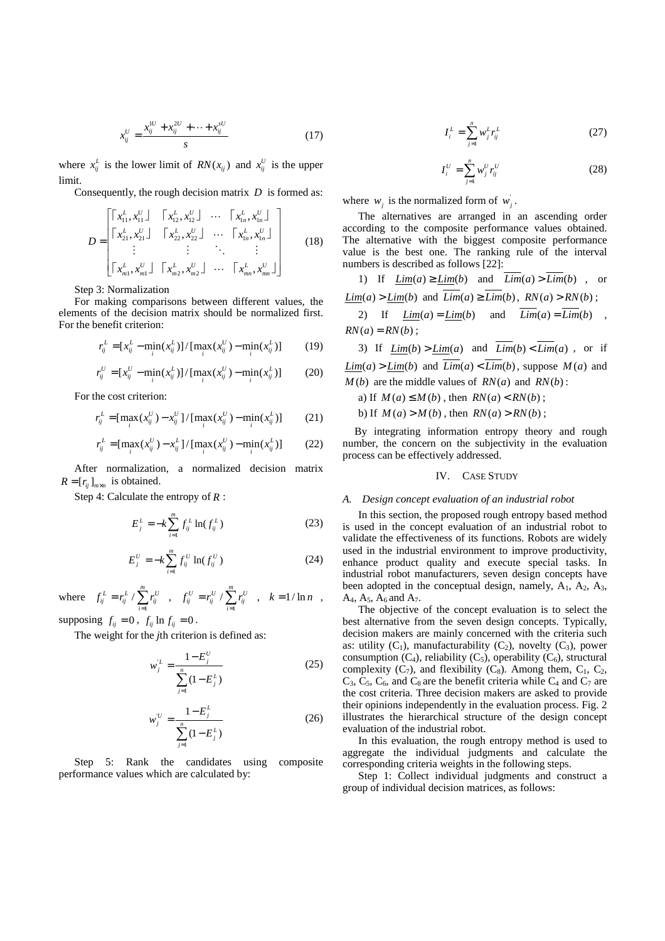$$
x_{ij}^U = \frac{x_{ij}^{IU} + x_{ij}^{2U} + \dots + x_{ij}^{sU}}{s}
$$
 (17)

where  $x_{ij}^L$  is the lower limit of  $RN(x_{ij})$  and  $x_{ij}^U$  is the upper limit.

Consequently, the rough decision matrix *D* is formed as:

$$
D = \begin{bmatrix} x_{11}^L, x_{11}^U & x_{12}^L, x_{12}^U & \cdots & x_{1n}^L, x_{1n}^U \end{bmatrix} \\ D = \begin{bmatrix} x_{21}^L, x_{21}^U & x_{22}^L, x_{22}^U & \cdots & x_{1n}^L, x_{1n}^U \end{bmatrix} \\ \vdots & \vdots & \ddots & \vdots \\ x_{m1}^L, x_{m1}^U & x_{m2}^L, x_{m2}^U & \cdots & x_{mn}^L, x_{mn}^U \end{bmatrix}
$$
 (18)

Step 3: Normalization

For making comparisons between different values, the elements of the decision matrix should be normalized first. For the benefit criterion:

$$
r_{ij}^{L} = [x_{ij}^{L} - \min_{i} (x_{ij}^{L})] / [\max_{i} (x_{ij}^{U}) - \min_{i} (x_{ij}^{L})]
$$
 (19)

$$
r_{ij}^U = [x_{ij}^U - \min_i(x_{ij}^L)] / [\max_i(x_{ij}^U) - \min_i(x_{ij}^L)] \tag{20}
$$

For the cost criterion:

$$
r_{ij}^{L} = [\max_{i} (x_{ij}^{U}) - x_{ij}^{U}] / [\max_{i} (x_{ij}^{U}) - \min_{i} (x_{ij}^{L})]
$$
 (21)

$$
r_{ij}^{L} = [\max_{i} (x_{ij}^{U}) - x_{ij}^{L}] / [\max_{i} (x_{ij}^{U}) - \min_{i} (x_{ij}^{L})]
$$
 (22)

After normalization, a normalized decision matrix  $R = [r_{ij}]_{m \times n}$  is obtained.

Step 4: Calculate the entropy of *R* :

$$
E_j^L = -k \sum_{i=1}^m f_{ij}^L \ln(f_{ij}^L)
$$
 (23)

$$
E_j^U = -k \sum_{i=1}^m f_{ij}^U \ln(f_{ij}^U)
$$
 (24)

where 1  $r_{ij}^L = r_{ij}^L / \sum_{i=1}^m r_{ij}^U$  $f_{ii}^L = r_{ii}^L / \sum r_i$  $= r_{ij}^L / \sum_{i=1}^m r_{ij}^U$ ,  $f_{ij}^U = r_{ij}^U / \sum_{i=1}^m$  $r_{ij}^U = r_{ij}^U / \sum_{i=1}^m r_{ij}^U$  $f_{ii}^U = r_{ii}^U / \sum r_i$  $= r_{ij}^{U} / \sum_{i=1}^{m} r_{ij}^{U}$ ,  $k = 1 / \ln n$ ,

supposing  $f_{ij} = 0$ ,  $f_{ij} \ln f_{ij} = 0$ .

The weight for the *j*th criterion is defined as:

$$
w_j^L = \frac{1 - E_j^U}{\sum_{j=1}^n (1 - E_j^L)}
$$
(25)

$$
w_j^U = \frac{1 - E_j^L}{\sum_{j=1}^n (1 - E_j^L)}
$$
(26)

Step 5: Rank the candidates using composite performance values which are calculated by:

$$
I_i^L = \sum_{j=1}^n w_j^L r_{ij}^L
$$
 (27)

$$
I_i^U = \sum_{j=1}^n w_j^U r_{ij}^U
$$
 (28)

where  $w_j$  is the normalized form of  $w_j$ .

The alternatives are arranged in an ascending order according to the composite performance values obtained. The alternative with the biggest composite performance value is the best one. The ranking rule of the interval numbers is described as follows [22]:

1) If 
$$
\underline{\text{Lim}}(a) \ge \underline{\text{Lim}}(b)
$$
 and  $\underline{\text{Lim}}(a) > \underline{\text{Lim}}(b)$ , or  
 $\underline{\text{Lim}}(a) > \underline{\text{Lim}}(b)$  and  $\overline{\text{Lim}}(a) \ge \overline{\text{Lim}}(b)$ ,  $\overline{\text{RN}}(a) > \overline{\text{RN}}(b)$ ;  
2) If  $\underline{\text{Lim}}(a) = \underline{\text{Lim}}(b)$  and  $\overline{\text{Lim}}(a) = \overline{\text{Lim}}(b)$ 

2) It 
$$
\underline{Lim}(a) = \underline{Lim}(b)
$$
 and  $\underline{Lim}(a) = \underline{Lim}(b)$ ,  
 $\underline{RN}(a) = \underline{RN}(b)$ ;

3) If  $Lim(b) > Lim(a)$  and  $\overline{Lim}(b) < \overline{Lim}(a)$ , or if  $Lim(a) > Lim(b)$  and  $\overline{Lim}(a) < \overline{Lim}(b)$ , suppose  $M(a)$  and  $M(b)$  are the middle values of  $RN(a)$  and  $RN(b)$ :

a) If  $M(a) \leq M(b)$ , then  $RN(a) < RN(b)$ ;

b) If  $M(a) > M(b)$ , then  $RN(a) > RN(b)$ ;

By integrating information entropy theory and rough number, the concern on the subjectivity in the evaluation process can be effectively addressed.

#### IV. CASE STUDY

## *A. Design concept evaluation of an industrial robot*

In this section, the proposed rough entropy based method is used in the concept evaluation of an industrial robot to validate the effectiveness of its functions. Robots are widely used in the industrial environment to improve productivity, enhance product quality and execute special tasks. In industrial robot manufacturers, seven design concepts have been adopted in the conceptual design, namely,  $A_1$ ,  $A_2$ ,  $A_3$ , A<sub>4</sub>, A<sub>5</sub>, A<sub>6</sub> and A<sub>7</sub>.

The objective of the concept evaluation is to select the best alternative from the seven design concepts. Typically, decision makers are mainly concerned with the criteria such as: utility  $(C_1)$ , manufacturability  $(C_2)$ , novelty  $(C_3)$ , power consumption  $(C_4)$ , reliability  $(C_5)$ , operability  $(C_6)$ , structural complexity  $(C_7)$ , and flexibility  $(C_8)$ . Among them,  $C_1$ ,  $C_2$ ,  $C_3$ ,  $C_5$ ,  $C_6$ , and  $C_8$  are the benefit criteria while  $C_4$  and  $C_7$  are the cost criteria. Three decision makers are asked to provide their opinions independently in the evaluation process. Fig. 2 illustrates the hierarchical structure of the design concept evaluation of the industrial robot.

In this evaluation, the rough entropy method is used to aggregate the individual judgments and calculate the corresponding criteria weights in the following steps.

Step 1: Collect individual judgments and construct a group of individual decision matrices, as follows: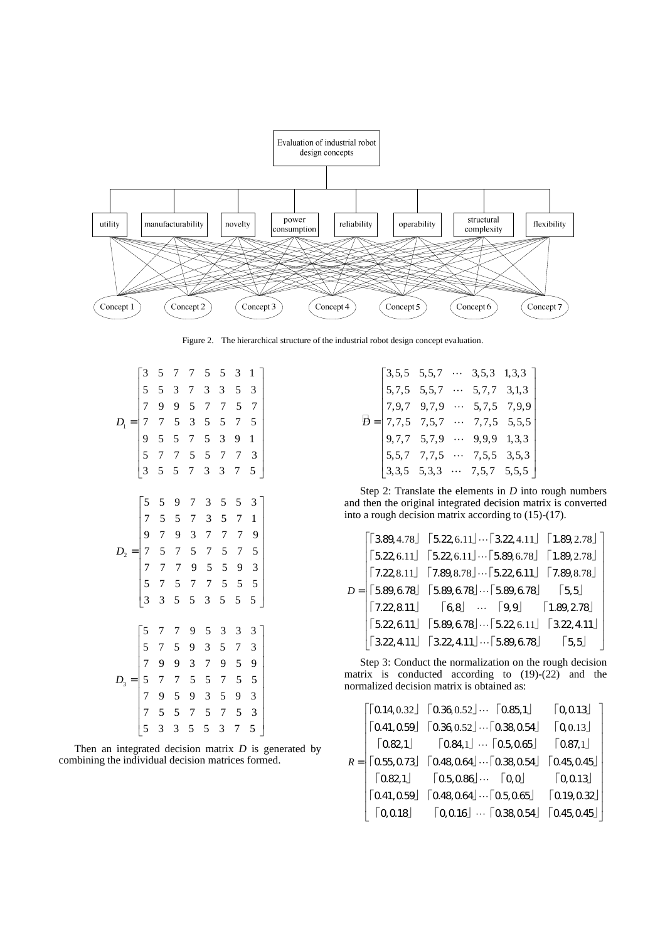

Figure 2. The hierarchical structure of the industrial robot design concept evaluation.

|                              | $\overline{\mathbf{3}}$                                                    | 5              | 7              | 7              | 5              | 5              | 3              | $\mathbf{1}$                          |
|------------------------------|----------------------------------------------------------------------------|----------------|----------------|----------------|----------------|----------------|----------------|---------------------------------------|
|                              |                                                                            | 5              | 3              | 7              | 3              | 3              | 5              | 3                                     |
|                              | $\frac{5}{7}$                                                              | 9              | 9              | 5              | $\overline{7}$ | $\overline{7}$ | 5              | $\overline{7}$                        |
| $D_{\scriptscriptstyle 1} =$ |                                                                            | $\overline{7}$ | 5              | 3              | 5              | 5              | $\overline{7}$ | 5                                     |
|                              | 7<br>9<br>5                                                                | 5              | 5              | $\overline{7}$ | 5              | 3              | 9              | $\mathbf{1}$                          |
|                              |                                                                            | 7              | $\overline{7}$ | 5              | 5              | $\overline{7}$ | $\overline{7}$ | 3                                     |
|                              | $\overline{3}$                                                             | 5              | 5              | 7              | 3              | 3              | 7              | 5                                     |
|                              |                                                                            |                |                |                |                |                |                |                                       |
|                              |                                                                            | 5              | 9              | 7              | 3              | 5              | 5              | 3                                     |
|                              |                                                                            | 5              | 5              | $\overline{7}$ | 3              | 5              | $\overline{7}$ | $\mathbf{1}$                          |
|                              |                                                                            | $\overline{7}$ | 9              | 3              | 7              | $\overline{7}$ | $\overline{7}$ | 9                                     |
| $D_{2}$                      |                                                                            | 5              | $\overline{7}$ | 5              | $\overline{7}$ | 5              | $\overline{7}$ | 5                                     |
|                              |                                                                            | $\overline{7}$ | $\overline{7}$ | 9              | 5              | 5              | 9              | 3                                     |
|                              | $\begin{bmatrix} 5 & 7 & 9 & 7 & 7 & 5 \\ 3 & 3 & 3 & 7 & 7 \end{bmatrix}$ | $\overline{7}$ | 5              | $\overline{7}$ | $\overline{7}$ | 5              | 5              | 5                                     |
|                              |                                                                            | 3              | 5              | 5              | 3              | 5              | 5              | 5                                     |
|                              |                                                                            |                |                |                |                |                |                |                                       |
|                              | 5                                                                          | 7              | 7              | 9              | 5              | 3              | 3              | 3                                     |
| $D_3 =$                      | $\frac{5}{7}$                                                              | $\overline{7}$ | 5              | 9              | 3              | 5              | 7              | 3                                     |
|                              |                                                                            | 9              | 9              | 3              | 7              | 9              | 5              | 9                                     |
|                              | $\frac{5}{7}$                                                              | $\overline{7}$ | $\overline{7}$ | 5              | 5              | $\overline{7}$ | 5              | 5                                     |
|                              |                                                                            | 9              | 5              | 9              | 3              | 5              | 9              | 3                                     |
|                              | $\begin{array}{c} 7 \\ 5 \end{array}$                                      | 5              | 5              | $\overline{7}$ | 5              | $\overline{7}$ | 5              | $\begin{array}{c} 3 \\ 5 \end{array}$ |
|                              |                                                                            | 3              | 3              | 5              | 5              | 3              | 7              |                                       |

Then an integrated decision matrix *D* is generated by combining the individual decision matrices formed.

|  |  | $B = \begin{bmatrix} 3,5,5 & 5,5,7 & \cdots & 3,5,3 & 1,3,3 \\ 5,7,5 & 5,5,7 & \cdots & 5,7,7 & 3,1,3 \\ 7,9,7 & 9,7,9 & \cdots & 5,7,5 & 7,9,9 \\ 7,7,5 & 7,5,7 & \cdots & 7,7,5 & 5,5,5 \\ 9,7,7 & 5,7,9 & \cdots & 9,9,9 & 1,3,3 \\ 5,5,7 & 7,7,5 & \cdots & 7,5,5 & 3,5,3 \\ 3,3,5 & 5,3,3 & \cdots & 7$ |
|--|--|--------------------------------------------------------------------------------------------------------------------------------------------------------------------------------------------------------------------------------------------------------------------------------------------------------------|
|  |  |                                                                                                                                                                                                                                                                                                              |
|  |  |                                                                                                                                                                                                                                                                                                              |
|  |  |                                                                                                                                                                                                                                                                                                              |

Step 2: Translate the elements in *D* into rough numbers and then the original integrated decision matrix is converted into a rough decision matrix according to (15)-(17).

|  | $D = \begin{bmatrix} 5.89, 4.78 \end{bmatrix} \begin{bmatrix} 5.22, 6.11 \end{bmatrix} \cdots \begin{bmatrix} 3.22, 4.11 \end{bmatrix} \begin{bmatrix} 1.89, 2.78 \end{bmatrix}$<br>$D = \begin{bmatrix} 5.89, 6.78 \end{bmatrix} \begin{bmatrix} 7.22, 8.11 \end{bmatrix} \begin{bmatrix} 7.89, 8.78 \end{bmatrix} \cdots \begin{bmatrix} 5.22, 6.11 \end{bmatrix} \begin{bmatrix} 7.89, 8.78 \end{bmatrix$ |
|--|--------------------------------------------------------------------------------------------------------------------------------------------------------------------------------------------------------------------------------------------------------------------------------------------------------------------------------------------------------------------------------------------------------------|
|  | $\begin{bmatrix} 7.22, 8.11 \end{bmatrix}$ $\begin{bmatrix} 6, 8 \end{bmatrix}$ $\cdots$ $\begin{bmatrix} 9, 9 \end{bmatrix}$ $\begin{bmatrix} 1.89, 2.78 \end{bmatrix}$                                                                                                                                                                                                                                     |
|  | $\begin{bmatrix} 5.22, 6.11 \end{bmatrix}$ $\begin{bmatrix} 5.89, 6.78 \end{bmatrix}$ $\begin{bmatrix} 5.22, 6.11 \end{bmatrix}$ $\begin{bmatrix} 3.22, 4.11 \end{bmatrix}$                                                                                                                                                                                                                                  |
|  | $\begin{bmatrix} 3.22, 4.11 \end{bmatrix}$ $\begin{bmatrix} 3.22, 4.11 \end{bmatrix}$ $\cdots$ $\begin{bmatrix} 5.89, 6.78 \end{bmatrix}$ $\begin{bmatrix} 5, 5 \end{bmatrix}$                                                                                                                                                                                                                               |

Step 3: Conduct the normalization on the rough decision matrix is conducted according to (19)-(22) and the normalized decision matrix is obtained as:

|  | $\begin{bmatrix} 0.14, 0.32 \end{bmatrix}$ $\begin{bmatrix} 0.36, 0.52 \end{bmatrix}$ $\begin{bmatrix} 0.85, 1 \end{bmatrix}$ $\begin{bmatrix} 0, 0.13 \end{bmatrix}$<br>$\begin{bmatrix} 0.41, 0.59 \end{bmatrix}$ $\begin{bmatrix} 0.36, 0.52 \end{bmatrix}$ $\begin{bmatrix} 0.38, 0.54 \end{bmatrix}$ $\begin{bmatrix} 0, 0.13 \end{bmatrix}$ |  |
|--|---------------------------------------------------------------------------------------------------------------------------------------------------------------------------------------------------------------------------------------------------------------------------------------------------------------------------------------------------|--|
|  | $\lceil 0.82, 1 \rfloor$ $\lceil 0.84, 1 \rfloor$ $\cdots$ $\lceil 0.5, 0.65 \rfloor$ $\lceil 0.87, 1 \rfloor$                                                                                                                                                                                                                                    |  |
|  | $R =   \lceil 0.55, 0.73 \rfloor \rceil 0.48, 0.64 \rfloor \cdots \lceil 0.38, 0.54 \rfloor \rceil 0.45, 0.45 \rfloor$                                                                                                                                                                                                                            |  |
|  | $\lceil 0.82,1 \rfloor$ $\lceil 0.5,0.86 \rfloor$ $\lceil 0,0 \rfloor$ $\lceil 0,0.13 \rfloor$                                                                                                                                                                                                                                                    |  |
|  | $\begin{bmatrix} 0.41, 0.59 \end{bmatrix}$ $\begin{bmatrix} 0.48, 0.64 \end{bmatrix} \cdots \begin{bmatrix} 0.5, 0.65 \end{bmatrix}$ $\begin{bmatrix} 0.19, 0.32 \end{bmatrix}$                                                                                                                                                                   |  |
|  | $\lceil 0, 0.18 \rfloor$ $\lceil 0, 0.16 \rfloor$ $\cdots$ $\lceil 0.38, 0.54 \rfloor$ $\lceil 0.45, 0.45 \rfloor$                                                                                                                                                                                                                                |  |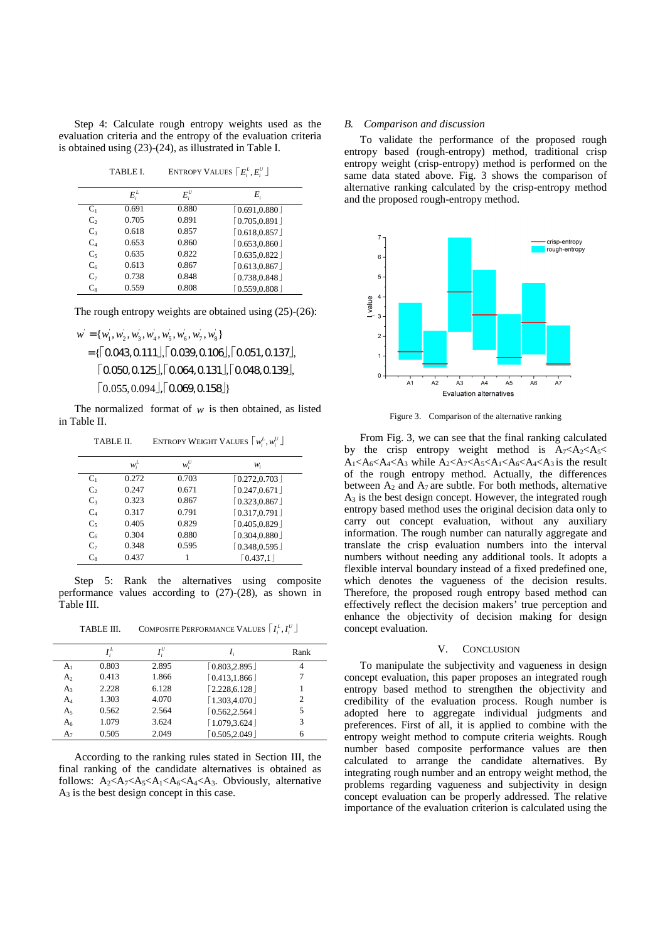Step 4: Calculate rough entropy weights used as the evaluation criteria and the entropy of the evaluation criteria is obtained using (23)-(24), as illustrated in Table I.

TABLE I. ENTROPY VALUES  $\lceil E_i^L, E_i^U \rceil$ 

|                           | $E_i^L$ | $E_i^U$ | E,             |
|---------------------------|---------|---------|----------------|
| $C_1$                     | 0.691   | 0.880   | [0.691, 0.880] |
| $\mathbb{C}^{\mathbb{R}}$ | 0.705   | 0.891   | [0.705, 0.891] |
| C <sub>3</sub>            | 0.618   | 0.857   | [0.618, 0.857] |
| $C_4$                     | 0.653   | 0.860   | [0.653, 0.860] |
| $C_5$                     | 0.635   | 0.822   | [0.635, 0.822] |
| $C_6$                     | 0.613   | 0.867   | [0.613, 0.867] |
| $C_7$                     | 0.738   | 0.848   | [0.738, 0.848] |
| $C_{8}$                   | 0.559   | 0.808   | [0.559, 0.808] |

The rough entropy weights are obtained using (25)-(26):

 $w' = \{w_1, w_2, w_3, w_4, w_5, w_6, w_7, w_8\}$  $=\left[ \begin{array}{|c|c|} \hline 0.043, 0.111 \end{array} \right]$ ,  $\left[ \begin{array}{|c|c|c|} \hline 0.039, 0.106 \end{array} \right]$ ,  $\left[ \begin{array}{|c|c|c|c|} \hline 0.051, 0.137 \end{array} \right]$ ,  $\lceil 0.050, 0.125 \rfloor, \lceil 0.064, 0.131 \rfloor, \lceil 0.048, 0.139 \rfloor,$  $\lceil 0.055, 0.094 \rfloor, \lceil 0.069, 0.158 \rfloor \}$ 

The normalized format of *w* is then obtained, as listed in Table II.

TABLE II. ENTROPY WEIGHT VALUES  $\lceil w_i^L, w_i^U \rfloor$ 

|                | $w_i^L$ | $w_i^U$ | w,                            |
|----------------|---------|---------|-------------------------------|
| $C_1$          | 0.272   | 0.703   | $\lceil 0.272, 0.703 \rfloor$ |
| C <sub>2</sub> | 0.247   | 0.671   | [0.247, 0.671]                |
| $C_3$          | 0.323   | 0.867   | [0.323, 0.867]                |
| $C_4$          | 0.317   | 0.791   | [0.317, 0.791]                |
| $C_5$          | 0.405   | 0.829   | [0.405, 0.829]                |
| $C_6$          | 0.304   | 0.880   | [0.304, 0.880]                |
| $C_7$          | 0.348   | 0.595   | [0.348, 0.595]                |
| $C_{8}$        | 0.437   |         | $\lceil 0.437.1 \rceil$       |

Step 5: Rank the alternatives using composite performance values according to (27)-(28), as shown in Table III.

TABLE III. COMPOSITE PERFORMANCE VALUES  $\lceil I_i^L, I_i^U \rfloor$ 

|                | $I^L$ | $I^U$ |                               | Rank           |
|----------------|-------|-------|-------------------------------|----------------|
| A <sub>1</sub> | 0.803 | 2.895 | [0.803, 2.895]                | 4              |
| A <sub>2</sub> | 0.413 | 1.866 | $\lceil 0.413, 1.866 \rfloor$ |                |
| $A_3$          | 2.228 | 6.128 | $[2.228, 6.128]$              |                |
| A4             | 1.303 | 4.070 | [1.303, 4.070]                | $\overline{2}$ |
| A <sub>5</sub> | 0.562 | 2.564 | [0.562, 2.564]                | 5              |
| A <sub>6</sub> | 1.079 | 3.624 | $\lceil 1.079, 3.624 \rfloor$ | 3              |
| $A_7$          | 0.505 | 2.049 | 0.505.2.049                   | 6              |

According to the ranking rules stated in Section III, the final ranking of the candidate alternatives is obtained as follows:  $A_2 < A_3 < A_4 < A_6 < A_4 < A_3$ . Obviously, alternative A3 is the best design concept in this case.

### *B. Comparison and discussion*

To validate the performance of the proposed rough entropy based (rough-entropy) method, traditional crisp entropy weight (crisp-entropy) method is performed on the same data stated above. Fig. 3 shows the comparison of alternative ranking calculated by the crisp-entropy method and the proposed rough-entropy method.



Figure 3. Comparison of the alternative ranking

From Fig. 3, we can see that the final ranking calculated by the crisp entropy weight method is  $A_7 < A_2 < A_5 <$  $A_1 < A_6 < A_4 < A_3$  while  $A_2 < A_7 < A_5 < A_1 < A_6 < A_4 < A_3$  is the result of the rough entropy method. Actually, the differences between  $A_2$  and  $A_7$  are subtle. For both methods, alternative  $A_3$  is the best design concept. However, the integrated rough entropy based method uses the original decision data only to carry out concept evaluation, without any auxiliary information. The rough number can naturally aggregate and translate the crisp evaluation numbers into the interval numbers without needing any additional tools. It adopts a flexible interval boundary instead of a fixed predefined one, which denotes the vagueness of the decision results. Therefore, the proposed rough entropy based method can effectively reflect the decision makers' true perception and enhance the objectivity of decision making for design concept evaluation.

## V. CONCLUSION

To manipulate the subjectivity and vagueness in design concept evaluation, this paper proposes an integrated rough entropy based method to strengthen the objectivity and credibility of the evaluation process. Rough number is adopted here to aggregate individual judgments and preferences. First of all, it is applied to combine with the entropy weight method to compute criteria weights. Rough number based composite performance values are then calculated to arrange the candidate alternatives. By integrating rough number and an entropy weight method, the problems regarding vagueness and subjectivity in design concept evaluation can be properly addressed. The relative importance of the evaluation criterion is calculated using the